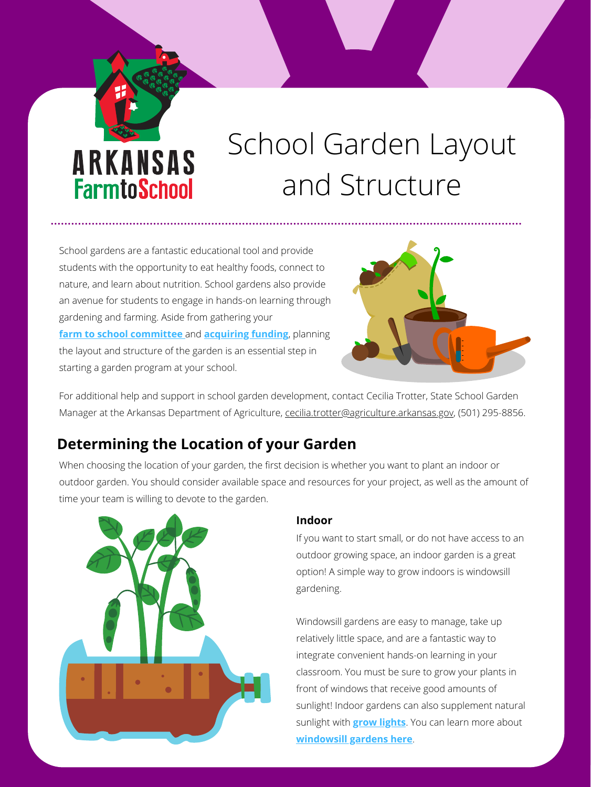# ARKANSAS **FarmtoSchool**

# School Garden Layout and Structure

### **Indoor**

If you want to start small, or do not have access to an outdoor growing space, an indoor garden is a great option! A simple way to grow indoors is windowsill gardening.

Windowsill gardens are easy to manage, take up relatively little space, and are a fantastic way to integrate convenient hands-on learning in your classroom. You must be sure to grow your plants in front of windows that receive good amounts of sunlight! Indoor gardens can also supplement natural sunlight with **[grow lights](https://kidsgardening.org/gardening-basics-getting-ready-to-grow-under-lights/)**. You can learn more about **[windowsill gardens here](https://www.kyreadysetgrow.org/information/windowsill-gardens?rq=windowsill%20gardens)**.

For additional help and support in school garden development, contact Cecilia Trotter, State School Garden Manager at the Arkansas Department of Agriculture, [cecilia.trotter@agriculture.arkansas.gov,](mailto:cecilia.trotter@agriculture.arkansas.gov) (501) 295-8856.

School gardens are a fantastic educational tool and provide students with the opportunity to eat healthy foods, connect to nature, and learn about nutrition. School gardens also provide an avenue for students to engage in hands-on learning through gardening and farming. Aside from gathering your **f[arm to school committee](https://arfarmtoschool.org/getting-started/getting-started-and-action-planning/)** and **[acquiring funding](https://arfarmtoschool.org/getting-started/grants-and-funding/)**[,](https://www.agriculture.arkansas.gov/wp-content/uploads/2021/03/School-Garden-Grants-Handout-3.31.2021.pdf) planning the layout and structure of the garden is an essential step in starting a garden program at your school.



When choosing the location of your garden, the first decision is whether you want to plant an indoor or outdoor garden. You should consider available space and resources for your project, as well as the amount of time your team is willing to devote to the garden.



# **Determining the Location of your Garden**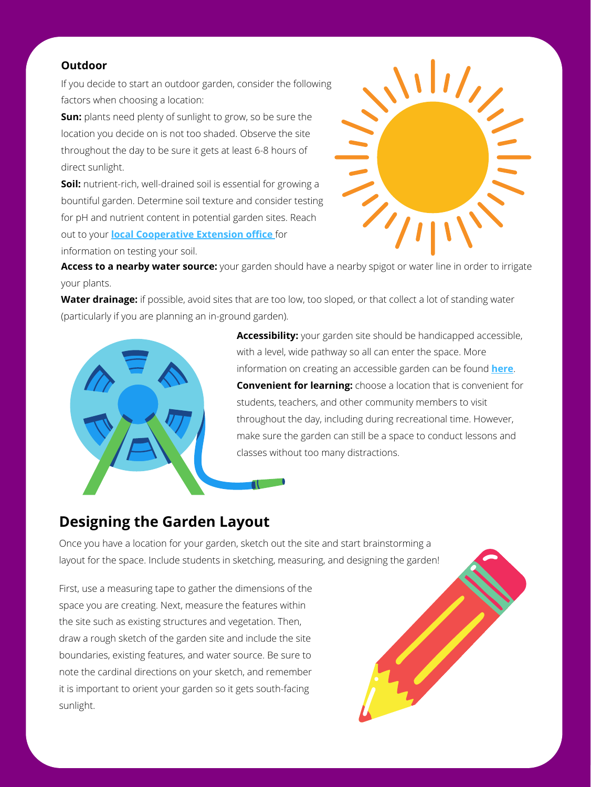#### **Outdoor**

If you decide to start an outdoor garden, consider the following factors when choosing a location:

**Sun:** plants need plenty of sunlight to grow, so be sure the location you decide on is not too shaded. Observe the site throughout the day to be sure it gets at least 6-8 hours of direct sunlight.

**Soil:** nutrient-rich, well-drained soil is essential for growing a bountiful garden. Determine soil texture and consider testing for pH and nutrient content in potential garden sites. Reach out to your **[local Cooperative Extension office](https://www.uaex.uada.edu/counties/)** for information on testing your soil.



**Accessibility:** your garden site should be handicapped accessible, with a level, wide pathway so all can enter the space. More information on creating an accessible garden can be found **[here](https://kidsgardening.org/garden-how-to-create-an-accessible-garden/)**. **Convenient for learning:** choose a location that is convenient for students, teachers, and other community members to visit

Water drainage: if possible, avoid sites that are too low, too sloped, or that collect a lot of standing water (particularly if you are planning an in-ground garden).





First, use a measuring tape to gather the dimensions of the space you are creating. Next, measure the features within the site such as existing structures and vegetation. Then, draw a rough sketch of the garden site and include the site boundaries, existing features, and water source. Be sure to note the cardinal directions on your sketch, and remember it is important to orient your garden so it gets south-facing sunlight.



**Access to a nearby water source:** your garden should have a nearby spigot or water line in order to irrigate your plants.

# **Designing the Garden Layout**

Once you have a location for your garden, sketch out the site and start brainstorming a layout for the space. Include students in sketching, measuring, and designing the garden!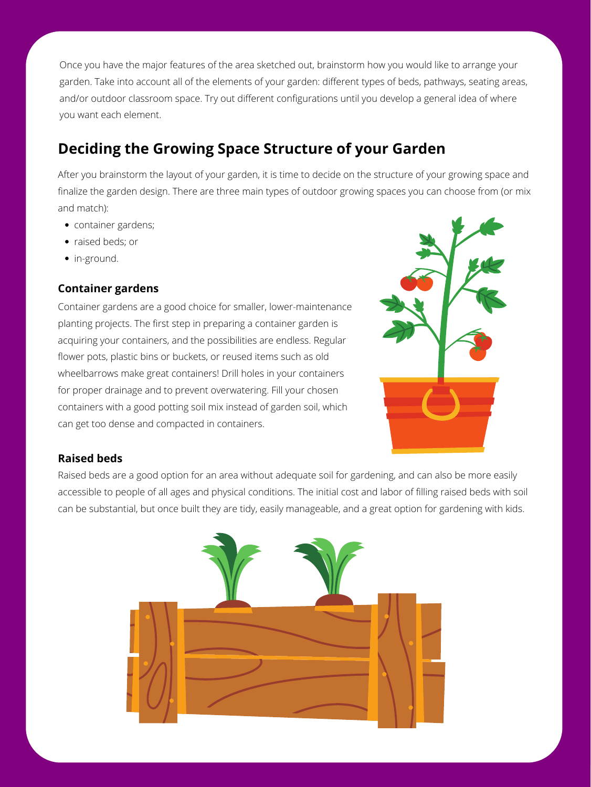### **Container gardens**

Container gardens are a good choice for smaller, lower-maintenance planting projects. The first step in preparing a container garden is acquiring your containers, and the possibilities are endless. Regular flower pots, plastic bins or buckets, or reused items such as old wheelbarrows make great containers! Drill holes in your containers for proper drainage and to prevent overwatering. Fill your chosen containers with a good potting soil mix instead of garden soil, which can get too dense and compacted in containers.



#### **Raised beds**

Once you have the major features of the area sketched out, brainstorm how you would like to arrange your garden. Take into account all of the elements of your garden: different types of beds, pathways, seating areas, and/or outdoor classroom space. Try out different configurations until you develop a general idea of where you want each element.

## **Deciding the Growing Space Structure of your Garden**

After you brainstorm the layout of your garden, it is time to decide on the structure of your growing space and finalize the garden design. There are three main types of outdoor growing spaces you can choose from (or mix and match):

- container gardens;
- raised beds; or
- in-ground.

Raised beds are a good option for an area without adequate soil for gardening, and can also be more easily accessible to people of all ages and physical conditions. The initial cost and labor of filling raised beds with soil can be substantial, but once built they are tidy, easily manageable, and a great option for gardening with kids.